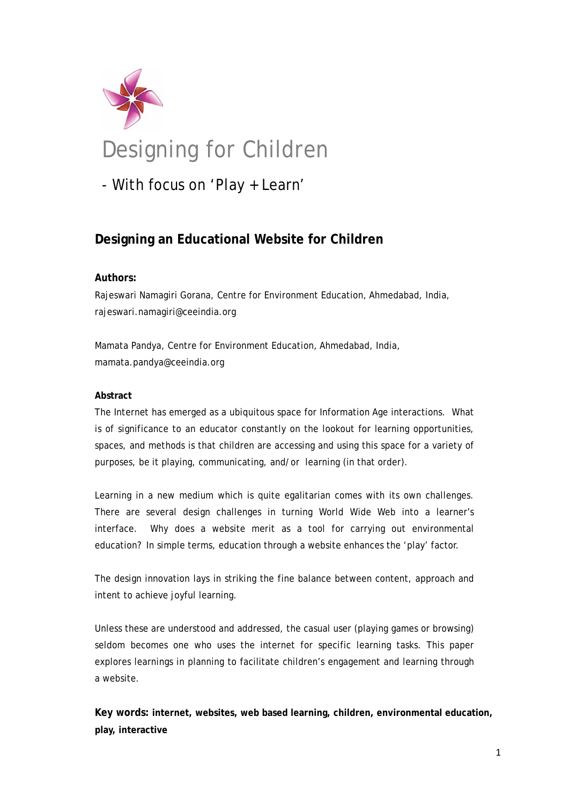

# Designing for Children

- With focus on 'Play + Learn'

# **Designing an Educational Website for Children**

## **Authors:**

Rajeswari Namagiri Gorana, Centre for Environment Education, Ahmedabad, India, rajeswari.namagiri@ceeindia.org

Mamata Pandya, Centre for Environment Education, Ahmedabad, India, mamata.pandya@ceeindia.org

#### **Abstract**

The Internet has emerged as a ubiquitous space for Information Age interactions. What is of significance to an educator constantly on the lookout for learning opportunities, spaces, and methods is that children are accessing and using this space for a variety of purposes, be it playing, communicating, and/or learning (in that order).

Learning in a new medium which is quite egalitarian comes with its own challenges. There are several design challenges in turning World Wide Web into a learner's interface. Why does a website merit as a tool for carrying out environmental education? In simple terms, education through a website enhances the 'play' factor.

The design innovation lays in striking the fine balance between content, approach and intent to achieve joyful learning.

Unless these are understood and addressed, the casual user (playing games or browsing) seldom becomes one who uses the internet for specific learning tasks. This paper explores learnings in planning to facilitate children's engagement and learning through a website.

**Key words: internet, websites, web based learning, children, environmental education, play, interactive**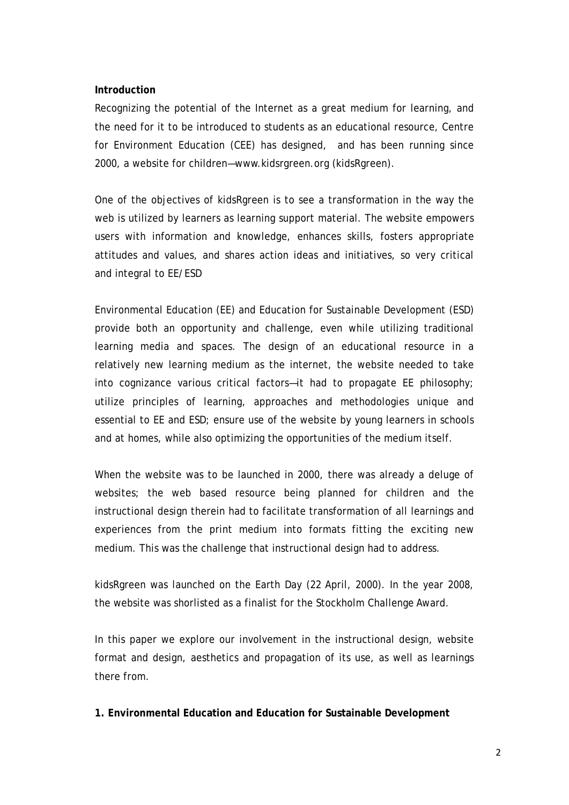#### **Introduction**

Recognizing the potential of the Internet as a great medium for learning, and the need for it to be introduced to students as an educational resource, Centre for Environment Education (CEE) has designed, and has been running since 2000, a website for children—www.kidsrgreen.org (kidsRgreen).

One of the objectives of kidsRgreen is to see a transformation in the way the web is utilized by learners as learning support material. The website empowers users with information and knowledge, enhances skills, fosters appropriate attitudes and values, and shares action ideas and initiatives, so very critical and integral to EE/ESD

Environmental Education (EE) and Education for Sustainable Development (ESD) provide both an opportunity and challenge, even while utilizing traditional learning media and spaces. The design of an educational resource in a relatively new learning medium as the internet, the website needed to take into cognizance various critical factors—it had to propagate EE philosophy; utilize principles of learning, approaches and methodologies unique and essential to EE and ESD; ensure use of the website by young learners in schools and at homes, while also optimizing the opportunities of the medium itself.

When the website was to be launched in 2000, there was already a deluge of websites; the web based resource being planned for children and the instructional design therein had to facilitate transformation of all learnings and experiences from the print medium into formats fitting the exciting new medium. This was the challenge that instructional design had to address.

kidsRgreen was launched on the Earth Day (22 April, 2000). In the year 2008, the website was shorlisted as a finalist for the Stockholm Challenge Award.

In this paper we explore our involvement in the instructional design, website format and design, aesthetics and propagation of its use, as well as learnings there from.

**1. Environmental Education and Education for Sustainable Development**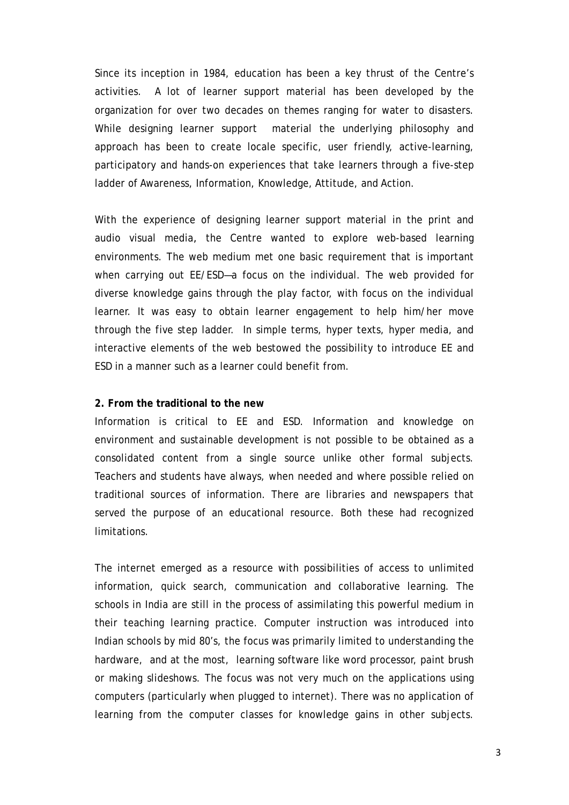Since its inception in 1984, education has been a key thrust of the Centre's activities. A lot of learner support material has been developed by the organization for over two decades on themes ranging for water to disasters. While designing learner support material the underlying philosophy and approach has been to create locale specific, user friendly, active-learning, participatory and hands-on experiences that take learners through a five-step ladder of Awareness, Information, Knowledge, Attitude, and Action.

With the experience of designing learner support material in the print and audio visual media*,* the Centre wanted to explore web-based learning environments. The web medium met one basic requirement that is important when carrying out EE/ESD—a focus on the individual. The web provided for diverse knowledge gains through the play factor, with focus on the individual learner. It was easy to obtain learner engagement to help him/her move through the five step ladder. In simple terms, hyper texts, hyper media, and interactive elements of the web bestowed the possibility to introduce EE and ESD in a manner such as a learner could benefit from.

#### **2. From the traditional to the new**

Information is critical to EE and ESD. Information and knowledge on environment and sustainable development is not possible to be obtained as a consolidated content from a single source unlike other formal subjects. Teachers and students have always, when needed and where possible relied on traditional sources of information. There are libraries and newspapers that served the purpose of an educational resource. Both these had recognized limitations.

The internet emerged as a resource with possibilities of access to unlimited information, quick search, communication and collaborative learning. The schools in India are still in the process of assimilating this powerful medium in their teaching learning practice. Computer instruction was introduced into Indian schools by mid 80's, the focus was primarily limited to understanding the hardware, and at the most, learning software like word processor, paint brush or making slideshows. The focus was not very much on the applications using computers (particularly when plugged to internet). There was no application of learning from the computer classes for knowledge gains in other subjects.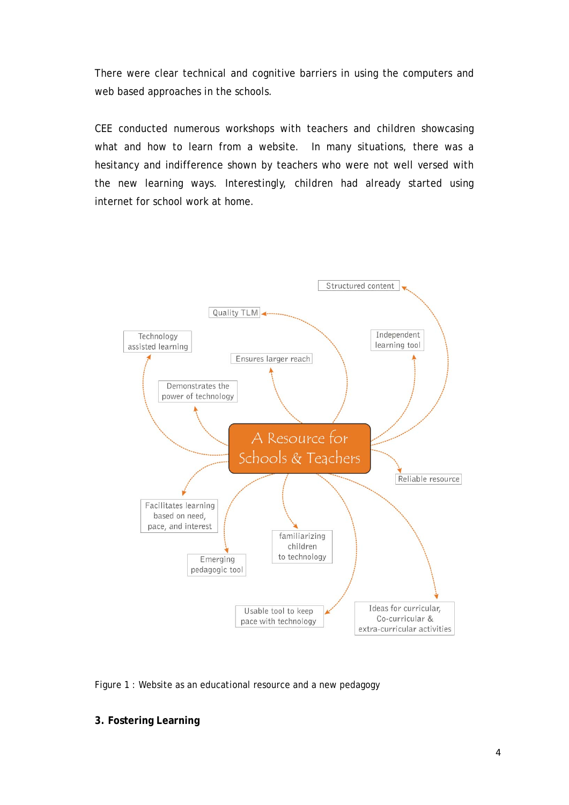There were clear technical and cognitive barriers in using the computers and web based approaches in the schools.

CEE conducted numerous workshops with teachers and children showcasing what and how to learn from a website. In many situations, there was a hesitancy and indifference shown by teachers who were not well versed with the new learning ways. Interestingly, children had already started using internet for school work at home.



Figure 1 : Website as an educational resource and a new pedagogy

### **3. Fostering Learning**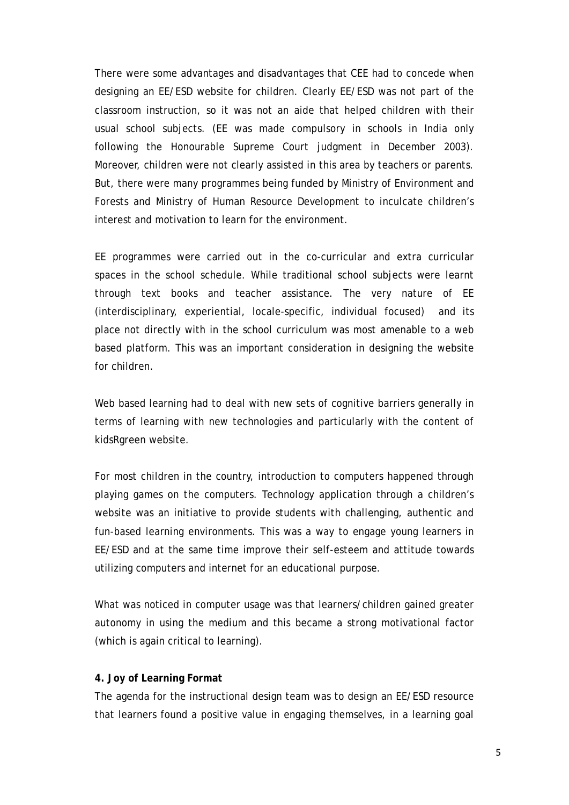There were some advantages and disadvantages that CEE had to concede when designing an EE/ESD website for children. Clearly EE/ESD was not part of the classroom instruction, so it was not an aide that helped children with their usual school subjects. (EE was made compulsory in schools in India only following the Honourable Supreme Court judgment in December 2003). Moreover, children were not clearly assisted in this area by teachers or parents. But, there were many programmes being funded by Ministry of Environment and Forests and Ministry of Human Resource Development to inculcate children's interest and motivation to learn for the environment.

EE programmes were carried out in the co-curricular and extra curricular spaces in the school schedule. While traditional school subjects were learnt through text books and teacher assistance. The very nature of EE (interdisciplinary, experiential, locale-specific, individual focused) and its place not directly with in the school curriculum was most amenable to a web based platform. This was an important consideration in designing the website for children.

Web based learning had to deal with new sets of cognitive barriers generally in terms of learning with new technologies and particularly with the content of kidsRgreen website.

For most children in the country, introduction to computers happened through playing games on the computers. Technology application through a children's website was an initiative to provide students with challenging, authentic and fun-based learning environments. This was a way to engage young learners in EE/ESD and at the same time improve their self-esteem and attitude towards utilizing computers and internet for an educational purpose.

What was noticed in computer usage was that learners/children gained greater autonomy in using the medium and this became a strong motivational factor (which is again critical to learning).

#### **4. Joy of Learning Format**

The agenda for the instructional design team was to design an EE/ESD resource that learners found a positive value in engaging themselves, in a learning goal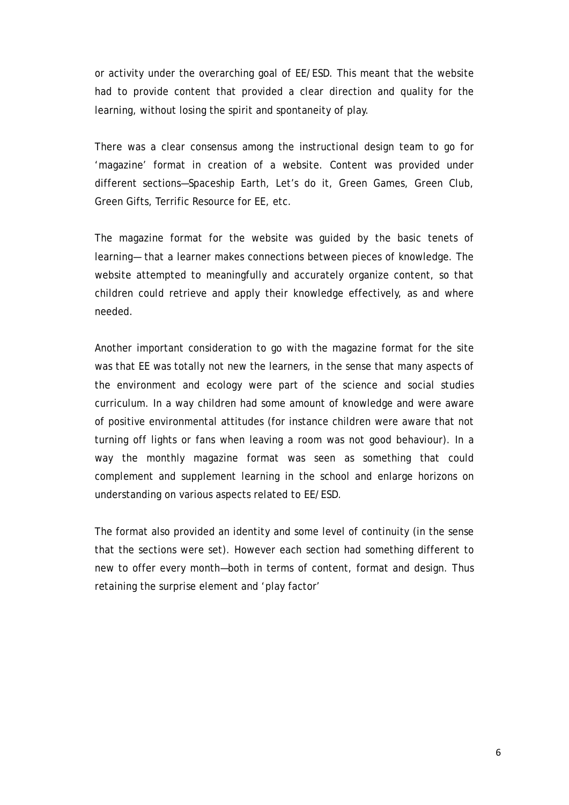or activity under the overarching goal of EE/ESD. This meant that the website had to provide content that provided a clear direction and quality for the learning, without losing the spirit and spontaneity of play.

There was a clear consensus among the instructional design team to go for 'magazine' format in creation of a website. Content was provided under different sections—Spaceship Earth, Let's do it, Green Games, Green Club, Green Gifts, Terrific Resource for EE, etc.

The magazine format for the website was guided by the basic tenets of learning— that a learner makes connections between pieces of knowledge. The website attempted to meaningfully and accurately organize content, so that children could retrieve and apply their knowledge effectively, as and where needed.

Another important consideration to go with the magazine format for the site was that EE was totally not new the learners, in the sense that many aspects of the environment and ecology were part of the science and social studies curriculum. In a way children had some amount of knowledge and were aware of positive environmental attitudes (for instance children were aware that not turning off lights or fans when leaving a room was not good behaviour). In a way the monthly magazine format was seen as something that could complement and supplement learning in the school and enlarge horizons on understanding on various aspects related to EE/ESD.

The format also provided an identity and some level of continuity (in the sense that the sections were set). However each section had something different to new to offer every month—both in terms of content, format and design. Thus retaining the surprise element and 'play factor'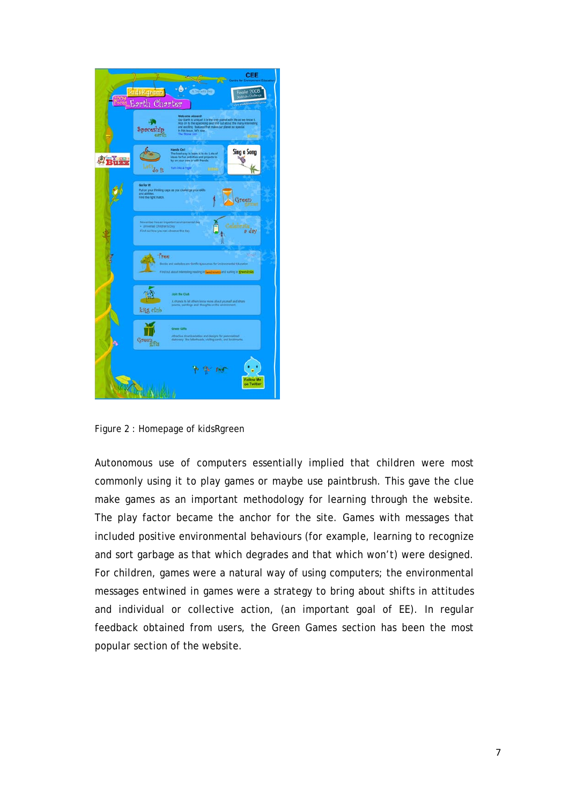

Figure 2 : Homepage of kidsRgreen

Autonomous use of computers essentially implied that children were most commonly using it to play games or maybe use paintbrush. This gave the clue make games as an important methodology for learning through the website. The play factor became the anchor for the site. Games with messages that included positive environmental behaviours (for example, learning to recognize and sort garbage as that which degrades and that which won't) were designed. For children, games were a natural way of using computers; the environmental messages entwined in games were a strategy to bring about shifts in attitudes and individual or collective action, (an important goal of EE). In regular feedback obtained from users, the Green Games section has been the most popular section of the website.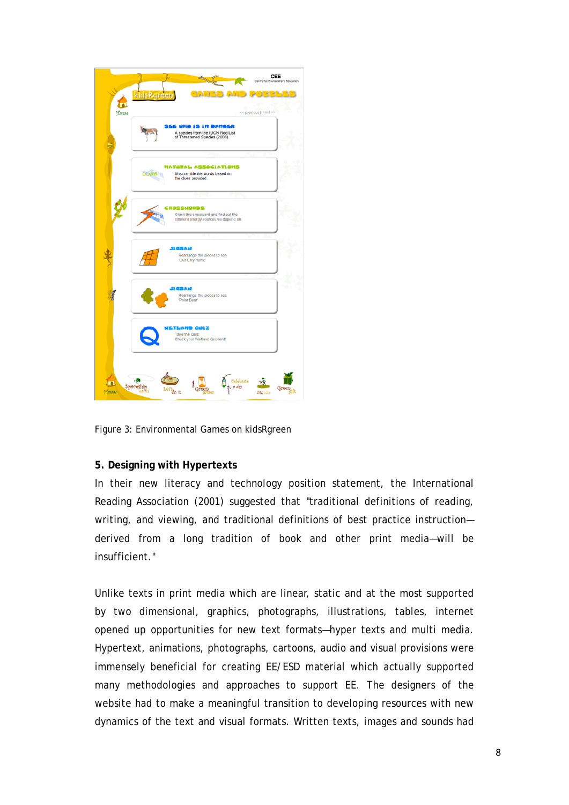

Figure 3: Environmental Games on kidsRgreen

#### **5. Designing with Hypertexts**

In their new literacy and technology position statement, the International Reading Association (2001) suggested that "traditional definitions of reading, writing, and viewing, and traditional definitions of best practice instruction derived from a long tradition of book and other print media—will be insufficient."

Unlike texts in print media which are linear, static and at the most supported by two dimensional, graphics, photographs, illustrations, tables, internet opened up opportunities for new text formats—hyper texts and multi media. Hypertext, animations, photographs, cartoons, audio and visual provisions were immensely beneficial for creating EE/ESD material which actually supported many methodologies and approaches to support EE. The designers of the website had to make a meaningful transition to developing resources with new dynamics of the text and visual formats. Written texts, images and sounds had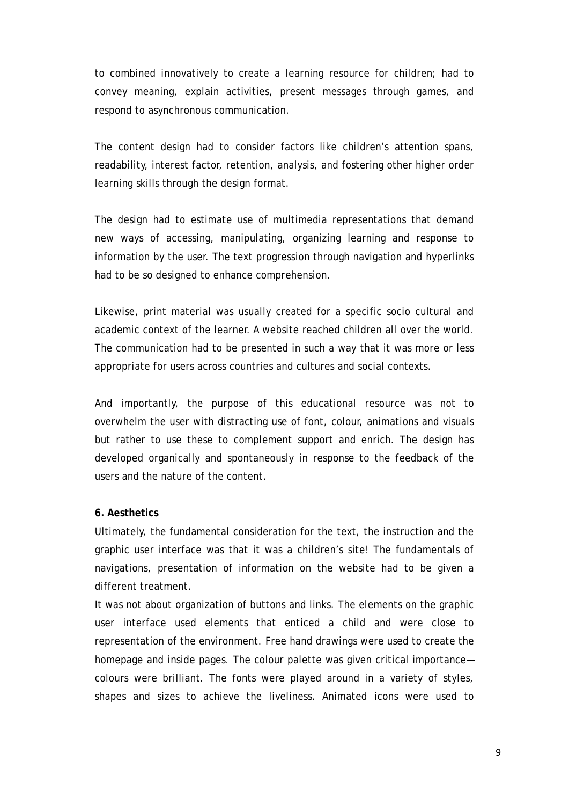to combined innovatively to create a learning resource for children; had to convey meaning, explain activities, present messages through games, and respond to asynchronous communication.

The content design had to consider factors like children's attention spans, readability, interest factor, retention, analysis, and fostering other higher order learning skills through the design format.

The design had to estimate use of multimedia representations that demand new ways of accessing, manipulating, organizing learning and response to information by the user. The text progression through navigation and hyperlinks had to be so designed to enhance comprehension.

Likewise, print material was usually created for a specific socio cultural and academic context of the learner. A website reached children all over the world. The communication had to be presented in such a way that it was more or less appropriate for users across countries and cultures and social contexts.

And importantly, the purpose of this educational resource was not to overwhelm the user with distracting use of font, colour, animations and visuals but rather to use these to complement support and enrich. The design has developed organically and spontaneously in response to the feedback of the users and the nature of the content.

#### **6. Aesthetics**

Ultimately, the fundamental consideration for the text, the instruction and the graphic user interface was that it was a children's site! The fundamentals of navigations, presentation of information on the website had to be given a different treatment.

It was not about organization of buttons and links. The elements on the graphic user interface used elements that enticed a child and were close to representation of the environment. Free hand drawings were used to create the homepage and inside pages. The colour palette was given critical importance colours were brilliant. The fonts were played around in a variety of styles, shapes and sizes to achieve the liveliness. Animated icons were used to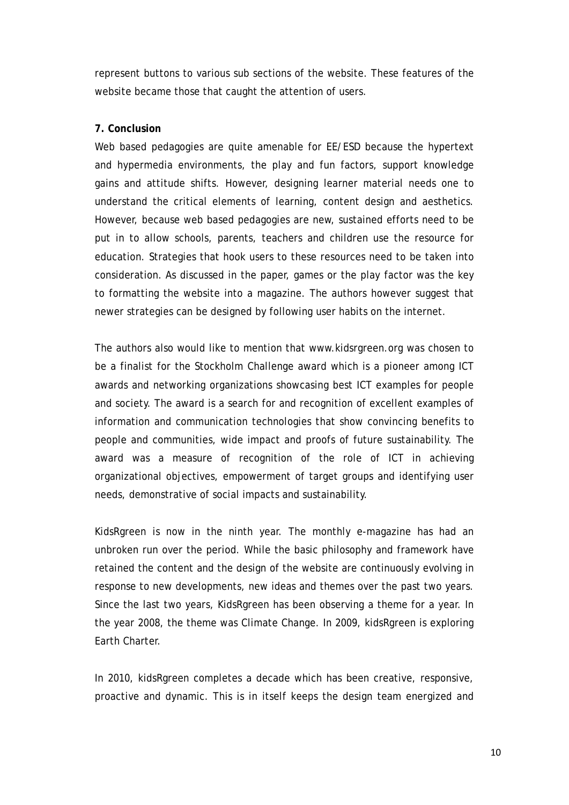represent buttons to various sub sections of the website. These features of the website became those that caught the attention of users.

# **7. Conclusion**

Web based pedagogies are quite amenable for EE/ESD because the hypertext and hypermedia environments, the play and fun factors, support knowledge gains and attitude shifts. However, designing learner material needs one to understand the critical elements of learning, content design and aesthetics. However, because web based pedagogies are new, sustained efforts need to be put in to allow schools, parents, teachers and children use the resource for education. Strategies that hook users to these resources need to be taken into consideration. As discussed in the paper, games or the play factor was the key to formatting the website into a magazine. The authors however suggest that newer strategies can be designed by following user habits on the internet.

The authors also would like to mention that www.kidsrgreen.org was chosen to be a finalist for the Stockholm Challenge award which is a pioneer among ICT awards and networking organizations showcasing best ICT examples for people and society. The award is a search for and recognition of excellent examples of information and communication technologies that show convincing benefits to people and communities, wide impact and proofs of future sustainability. The award was a measure of recognition of the role of ICT in achieving organizational objectives, empowerment of target groups and identifying user needs, demonstrative of social impacts and sustainability.

KidsRgreen is now in the ninth year. The monthly e-magazine has had an unbroken run over the period. While the basic philosophy and framework have retained the content and the design of the website are continuously evolving in response to new developments, new ideas and themes over the past two years. Since the last two years, KidsRgreen has been observing a theme for a year. In the year 2008, the theme was Climate Change. In 2009, kidsRgreen is exploring Earth Charter.

In 2010, kidsRgreen completes a decade which has been creative, responsive, proactive and dynamic. This is in itself keeps the design team energized and